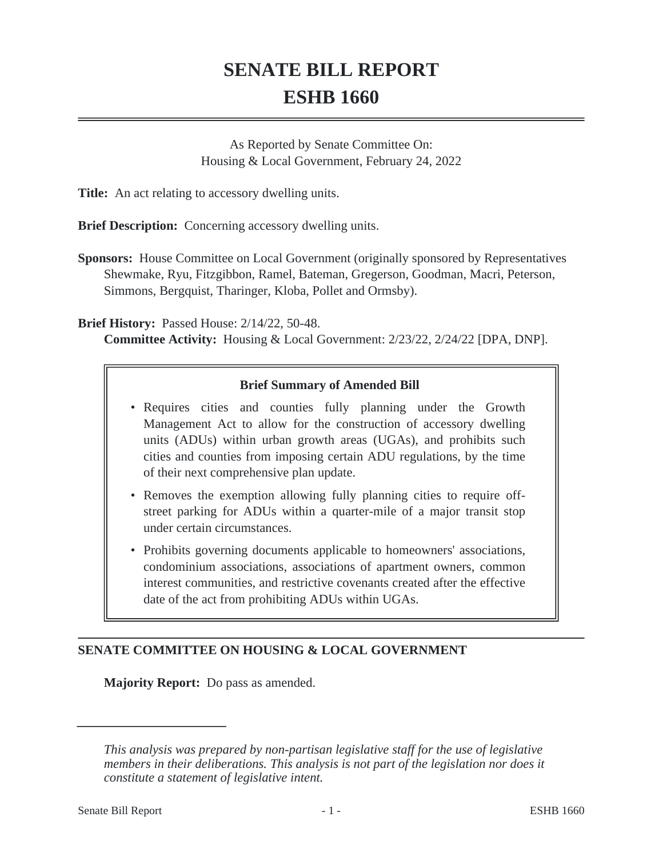# **SENATE BILL REPORT ESHB 1660**

As Reported by Senate Committee On: Housing & Local Government, February 24, 2022

**Title:** An act relating to accessory dwelling units.

**Brief Description:** Concerning accessory dwelling units.

**Sponsors:** House Committee on Local Government (originally sponsored by Representatives Shewmake, Ryu, Fitzgibbon, Ramel, Bateman, Gregerson, Goodman, Macri, Peterson, Simmons, Bergquist, Tharinger, Kloba, Pollet and Ormsby).

**Brief History:** Passed House: 2/14/22, 50-48.

**Committee Activity:** Housing & Local Government: 2/23/22, 2/24/22 [DPA, DNP].

# **Brief Summary of Amended Bill**

- Requires cities and counties fully planning under the Growth Management Act to allow for the construction of accessory dwelling units (ADUs) within urban growth areas (UGAs), and prohibits such cities and counties from imposing certain ADU regulations, by the time of their next comprehensive plan update.
- Removes the exemption allowing fully planning cities to require off-• street parking for ADUs within a quarter-mile of a major transit stop under certain circumstances.
- Prohibits governing documents applicable to homeowners' associations, condominium associations, associations of apartment owners, common interest communities, and restrictive covenants created after the effective date of the act from prohibiting ADUs within UGAs.

# **SENATE COMMITTEE ON HOUSING & LOCAL GOVERNMENT**

**Majority Report:** Do pass as amended.

*This analysis was prepared by non-partisan legislative staff for the use of legislative members in their deliberations. This analysis is not part of the legislation nor does it constitute a statement of legislative intent.*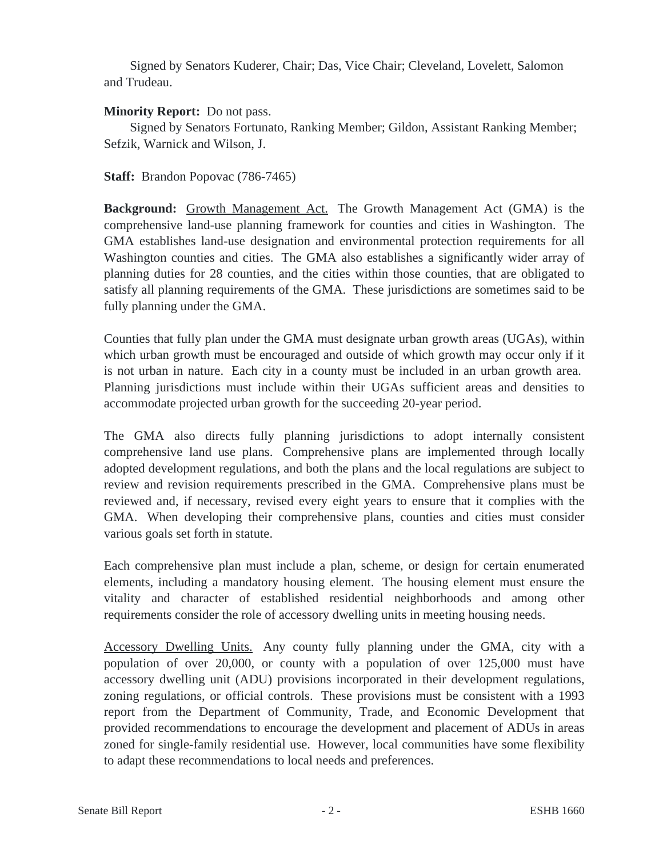Signed by Senators Kuderer, Chair; Das, Vice Chair; Cleveland, Lovelett, Salomon and Trudeau.

# **Minority Report:** Do not pass.

Signed by Senators Fortunato, Ranking Member; Gildon, Assistant Ranking Member; Sefzik, Warnick and Wilson, J.

**Staff:** Brandon Popovac (786-7465)

**Background:** Growth Management Act. The Growth Management Act (GMA) is the comprehensive land-use planning framework for counties and cities in Washington. The GMA establishes land-use designation and environmental protection requirements for all Washington counties and cities. The GMA also establishes a significantly wider array of planning duties for 28 counties, and the cities within those counties, that are obligated to satisfy all planning requirements of the GMA. These jurisdictions are sometimes said to be fully planning under the GMA.

Counties that fully plan under the GMA must designate urban growth areas (UGAs), within which urban growth must be encouraged and outside of which growth may occur only if it is not urban in nature. Each city in a county must be included in an urban growth area. Planning jurisdictions must include within their UGAs sufficient areas and densities to accommodate projected urban growth for the succeeding 20-year period.

The GMA also directs fully planning jurisdictions to adopt internally consistent comprehensive land use plans. Comprehensive plans are implemented through locally adopted development regulations, and both the plans and the local regulations are subject to review and revision requirements prescribed in the GMA. Comprehensive plans must be reviewed and, if necessary, revised every eight years to ensure that it complies with the GMA. When developing their comprehensive plans, counties and cities must consider various goals set forth in statute.

Each comprehensive plan must include a plan, scheme, or design for certain enumerated elements, including a mandatory housing element. The housing element must ensure the vitality and character of established residential neighborhoods and among other requirements consider the role of accessory dwelling units in meeting housing needs.

Accessory Dwelling Units. Any county fully planning under the GMA, city with a population of over 20,000, or county with a population of over 125,000 must have accessory dwelling unit (ADU) provisions incorporated in their development regulations, zoning regulations, or official controls. These provisions must be consistent with a 1993 report from the Department of Community, Trade, and Economic Development that provided recommendations to encourage the development and placement of ADUs in areas zoned for single-family residential use. However, local communities have some flexibility to adapt these recommendations to local needs and preferences.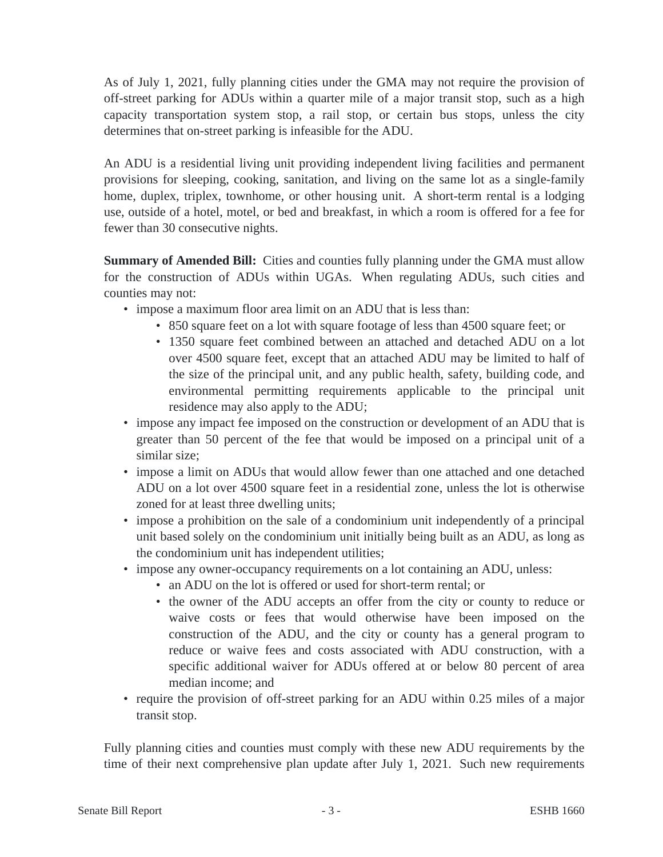As of July 1, 2021, fully planning cities under the GMA may not require the provision of off-street parking for ADUs within a quarter mile of a major transit stop, such as a high capacity transportation system stop, a rail stop, or certain bus stops, unless the city determines that on-street parking is infeasible for the ADU.

An ADU is a residential living unit providing independent living facilities and permanent provisions for sleeping, cooking, sanitation, and living on the same lot as a single-family home, duplex, triplex, townhome, or other housing unit. A short-term rental is a lodging use, outside of a hotel, motel, or bed and breakfast, in which a room is offered for a fee for fewer than 30 consecutive nights.

**Summary of Amended Bill:** Cities and counties fully planning under the GMA must allow for the construction of ADUs within UGAs. When regulating ADUs, such cities and counties may not:

- impose a maximum floor area limit on an ADU that is less than:
	- 850 square feet on a lot with square footage of less than 4500 square feet; or
	- 1350 square feet combined between an attached and detached ADU on a lot over 4500 square feet, except that an attached ADU may be limited to half of the size of the principal unit, and any public health, safety, building code, and environmental permitting requirements applicable to the principal unit residence may also apply to the ADU;
- impose any impact fee imposed on the construction or development of an ADU that is greater than 50 percent of the fee that would be imposed on a principal unit of a similar size;
- impose a limit on ADUs that would allow fewer than one attached and one detached ADU on a lot over 4500 square feet in a residential zone, unless the lot is otherwise zoned for at least three dwelling units;
- impose a prohibition on the sale of a condominium unit independently of a principal unit based solely on the condominium unit initially being built as an ADU, as long as the condominium unit has independent utilities;
- impose any owner-occupancy requirements on a lot containing an ADU, unless:
	- an ADU on the lot is offered or used for short-term rental; or
	- the owner of the ADU accepts an offer from the city or county to reduce or waive costs or fees that would otherwise have been imposed on the construction of the ADU, and the city or county has a general program to reduce or waive fees and costs associated with ADU construction, with a specific additional waiver for ADUs offered at or below 80 percent of area median income; and
- require the provision of off-street parking for an ADU within 0.25 miles of a major transit stop.

Fully planning cities and counties must comply with these new ADU requirements by the time of their next comprehensive plan update after July 1, 2021. Such new requirements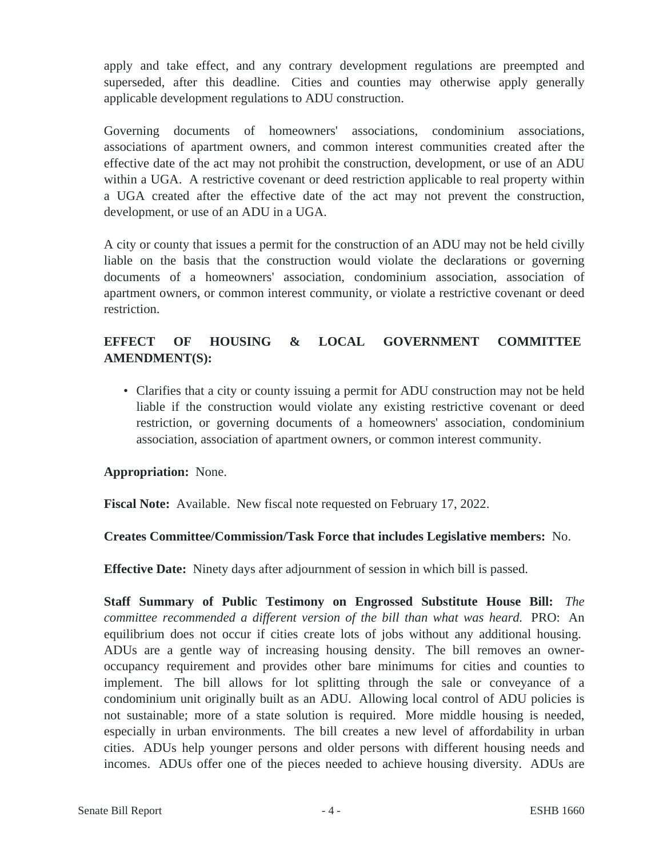apply and take effect, and any contrary development regulations are preempted and superseded, after this deadline. Cities and counties may otherwise apply generally applicable development regulations to ADU construction.

Governing documents of homeowners' associations, condominium associations, associations of apartment owners, and common interest communities created after the effective date of the act may not prohibit the construction, development, or use of an ADU within a UGA. A restrictive covenant or deed restriction applicable to real property within a UGA created after the effective date of the act may not prevent the construction, development, or use of an ADU in a UGA.

A city or county that issues a permit for the construction of an ADU may not be held civilly liable on the basis that the construction would violate the declarations or governing documents of a homeowners' association, condominium association, association of apartment owners, or common interest community, or violate a restrictive covenant or deed restriction.

# **EFFECT OF HOUSING & LOCAL GOVERNMENT COMMITTEE AMENDMENT(S):**

• Clarifies that a city or county issuing a permit for ADU construction may not be held liable if the construction would violate any existing restrictive covenant or deed restriction, or governing documents of a homeowners' association, condominium association, association of apartment owners, or common interest community.

# **Appropriation:** None.

**Fiscal Note:** Available. New fiscal note requested on February 17, 2022.

# **Creates Committee/Commission/Task Force that includes Legislative members:** No.

**Effective Date:** Ninety days after adjournment of session in which bill is passed.

**Staff Summary of Public Testimony on Engrossed Substitute House Bill:** *The committee recommended a different version of the bill than what was heard.* PRO: An equilibrium does not occur if cities create lots of jobs without any additional housing. ADUs are a gentle way of increasing housing density. The bill removes an owneroccupancy requirement and provides other bare minimums for cities and counties to implement. The bill allows for lot splitting through the sale or conveyance of a condominium unit originally built as an ADU. Allowing local control of ADU policies is not sustainable; more of a state solution is required. More middle housing is needed, especially in urban environments. The bill creates a new level of affordability in urban cities. ADUs help younger persons and older persons with different housing needs and incomes. ADUs offer one of the pieces needed to achieve housing diversity. ADUs are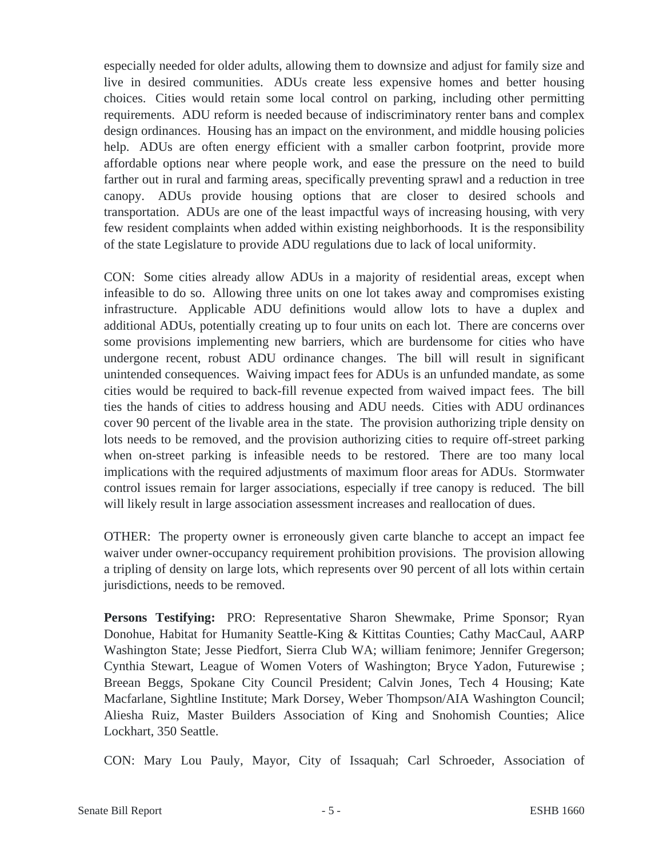especially needed for older adults, allowing them to downsize and adjust for family size and live in desired communities. ADUs create less expensive homes and better housing choices. Cities would retain some local control on parking, including other permitting requirements. ADU reform is needed because of indiscriminatory renter bans and complex design ordinances. Housing has an impact on the environment, and middle housing policies help. ADUs are often energy efficient with a smaller carbon footprint, provide more affordable options near where people work, and ease the pressure on the need to build farther out in rural and farming areas, specifically preventing sprawl and a reduction in tree canopy. ADUs provide housing options that are closer to desired schools and transportation. ADUs are one of the least impactful ways of increasing housing, with very few resident complaints when added within existing neighborhoods. It is the responsibility of the state Legislature to provide ADU regulations due to lack of local uniformity.

CON: Some cities already allow ADUs in a majority of residential areas, except when infeasible to do so. Allowing three units on one lot takes away and compromises existing infrastructure. Applicable ADU definitions would allow lots to have a duplex and additional ADUs, potentially creating up to four units on each lot. There are concerns over some provisions implementing new barriers, which are burdensome for cities who have undergone recent, robust ADU ordinance changes. The bill will result in significant unintended consequences. Waiving impact fees for ADUs is an unfunded mandate, as some cities would be required to back-fill revenue expected from waived impact fees. The bill ties the hands of cities to address housing and ADU needs. Cities with ADU ordinances cover 90 percent of the livable area in the state. The provision authorizing triple density on lots needs to be removed, and the provision authorizing cities to require off-street parking when on-street parking is infeasible needs to be restored. There are too many local implications with the required adjustments of maximum floor areas for ADUs. Stormwater control issues remain for larger associations, especially if tree canopy is reduced. The bill will likely result in large association assessment increases and reallocation of dues.

OTHER: The property owner is erroneously given carte blanche to accept an impact fee waiver under owner-occupancy requirement prohibition provisions. The provision allowing a tripling of density on large lots, which represents over 90 percent of all lots within certain jurisdictions, needs to be removed.

**Persons Testifying:** PRO: Representative Sharon Shewmake, Prime Sponsor; Ryan Donohue, Habitat for Humanity Seattle-King & Kittitas Counties; Cathy MacCaul, AARP Washington State; Jesse Piedfort, Sierra Club WA; william fenimore; Jennifer Gregerson; Cynthia Stewart, League of Women Voters of Washington; Bryce Yadon, Futurewise ; Breean Beggs, Spokane City Council President; Calvin Jones, Tech 4 Housing; Kate Macfarlane, Sightline Institute; Mark Dorsey, Weber Thompson/AIA Washington Council; Aliesha Ruiz, Master Builders Association of King and Snohomish Counties; Alice Lockhart, 350 Seattle.

CON: Mary Lou Pauly, Mayor, City of Issaquah; Carl Schroeder, Association of